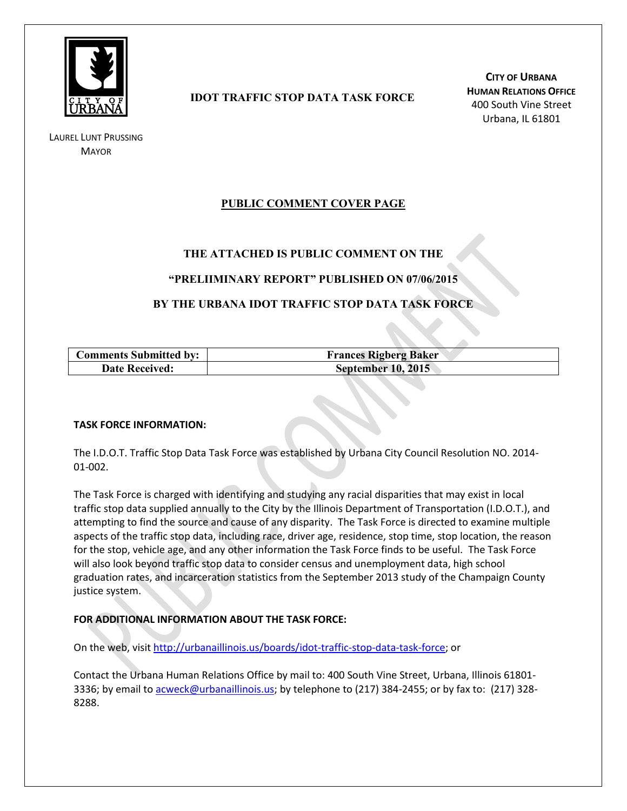

LAUREL LUNT PRUSSING **MAYOR** 

# **IDOT TRAFFIC STOP DATA TASK FORCE**

**CITY OF URBANA HUMAN RELATIONS OFFICE** 400 South Vine Street Urbana, IL 61801

# **PUBLIC COMMENT COVER PAGE**

## **THE ATTACHED IS PUBLIC COMMENT ON THE**

### **"PRELIIMINARY REPORT" PUBLISHED ON 07/06/2015**

## **BY THE URBANA IDOT TRAFFIC STOP DATA TASK FORCE**

| <b>Comments Submitted by:</b> | <b>Frances Rigberg Baker</b> |
|-------------------------------|------------------------------|
| <b>Date Received:</b>         | <b>September 10, 2015</b>    |

#### **TASK FORCE INFORMATION:**

The I.D.O.T. Traffic Stop Data Task Force was established by Urbana City Council Resolution NO. 2014- 01-002.

The Task Force is charged with identifying and studying any racial disparities that may exist in local traffic stop data supplied annually to the City by the Illinois Department of Transportation (I.D.O.T.), and attempting to find the source and cause of any disparity. The Task Force is directed to examine multiple aspects of the traffic stop data, including race, driver age, residence, stop time, stop location, the reason for the stop, vehicle age, and any other information the Task Force finds to be useful. The Task Force will also look beyond traffic stop data to consider census and unemployment data, high school graduation rates, and incarceration statistics from the September 2013 study of the Champaign County justice system.

### **FOR ADDITIONAL INFORMATION ABOUT THE TASK FORCE:**

On the web, visit [http://urbanaillinois.us/boards/idot-traffic-stop-data-task-force;](http://urbanaillinois.us/boards/idot-traffic-stop-data-task-force) or

Contact the Urbana Human Relations Office by mail to: 400 South Vine Street, Urbana, Illinois 61801 3336; by email to [acweck@urbanaillinois.us;](mailto:acweck@urbanaillinois.us) by telephone to (217) 384-2455; or by fax to: (217) 328-8288.